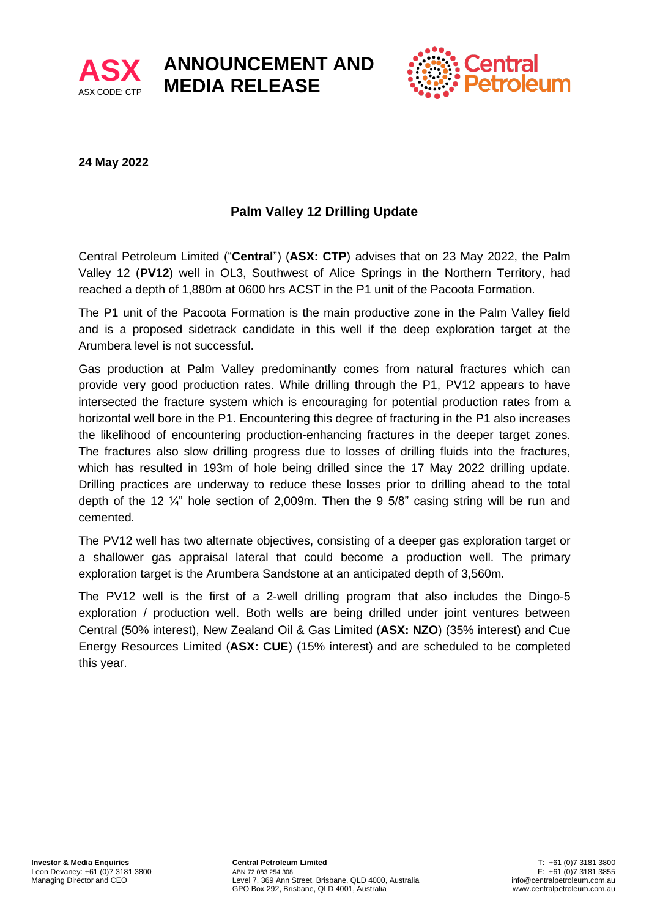



## **24 May 2022**

# **Palm Valley 12 Drilling Update**

**ANNOUNCEMENT AND** 

**MEDIA RELEASE**

Central Petroleum Limited ("**Central**") (**ASX: CTP**) advises that on 23 May 2022, the Palm Valley 12 (**PV12**) well in OL3, Southwest of Alice Springs in the Northern Territory, had reached a depth of 1,880m at 0600 hrs ACST in the P1 unit of the Pacoota Formation.

The P1 unit of the Pacoota Formation is the main productive zone in the Palm Valley field and is a proposed sidetrack candidate in this well if the deep exploration target at the Arumbera level is not successful.

Gas production at Palm Valley predominantly comes from natural fractures which can provide very good production rates. While drilling through the P1, PV12 appears to have intersected the fracture system which is encouraging for potential production rates from a horizontal well bore in the P1. Encountering this degree of fracturing in the P1 also increases the likelihood of encountering production-enhancing fractures in the deeper target zones. The fractures also slow drilling progress due to losses of drilling fluids into the fractures, which has resulted in 193m of hole being drilled since the 17 May 2022 drilling update. Drilling practices are underway to reduce these losses prior to drilling ahead to the total depth of the 12 ¼" hole section of 2,009m. Then the 9 5/8" casing string will be run and cemented.

The PV12 well has two alternate objectives, consisting of a deeper gas exploration target or a shallower gas appraisal lateral that could become a production well. The primary exploration target is the Arumbera Sandstone at an anticipated depth of 3,560m.

The PV12 well is the first of a 2-well drilling program that also includes the Dingo-5 exploration / production well. Both wells are being drilled under joint ventures between Central (50% interest), New Zealand Oil & Gas Limited (**ASX: NZO**) (35% interest) and Cue Energy Resources Limited (**ASX: CUE**) (15% interest) and are scheduled to be completed this year.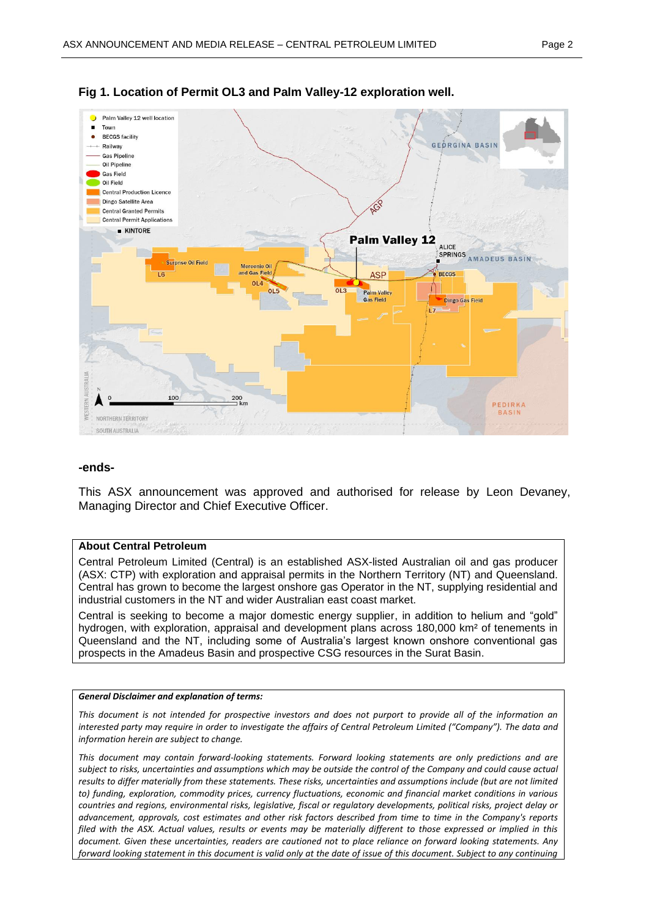

## **Fig 1. Location of Permit OL3 and Palm Valley-12 exploration well.**

### **-ends-**

This ASX announcement was approved and authorised for release by Leon Devaney, Managing Director and Chief Executive Officer.

#### **About Central Petroleum**

Central Petroleum Limited (Central) is an established ASX-listed Australian oil and gas producer (ASX: CTP) with exploration and appraisal permits in the Northern Territory (NT) and Queensland. Central has grown to become the largest onshore gas Operator in the NT, supplying residential and industrial customers in the NT and wider Australian east coast market.

Central is seeking to become a major domestic energy supplier, in addition to helium and "gold" hydrogen, with exploration, appraisal and development plans across 180,000 km<sup>2</sup> of tenements in Queensland and the NT, including some of Australia's largest known onshore conventional gas prospects in the Amadeus Basin and prospective CSG resources in the Surat Basin.

#### *General Disclaimer and explanation of terms:*

*This document is not intended for prospective investors and does not purport to provide all of the information an interested party may require in order to investigate the affairs of Central Petroleum Limited ("Company"). The data and information herein are subject to change.*

*This document may contain forward-looking statements. Forward looking statements are only predictions and are subject to risks, uncertainties and assumptions which may be outside the control of the Company and could cause actual results to differ materially from these statements. These risks, uncertainties and assumptions include (but are not limited to) funding, exploration, commodity prices, currency fluctuations, economic and financial market conditions in various countries and regions, environmental risks, legislative, fiscal or regulatory developments, political risks, project delay or advancement, approvals, cost estimates and other risk factors described from time to time in the Company's reports filed with the ASX. Actual values, results or events may be materially different to those expressed or implied in this document. Given these uncertainties, readers are cautioned not to place reliance on forward looking statements. Any forward looking statement in this document is valid only at the date of issue of this document. Subject to any continuing*